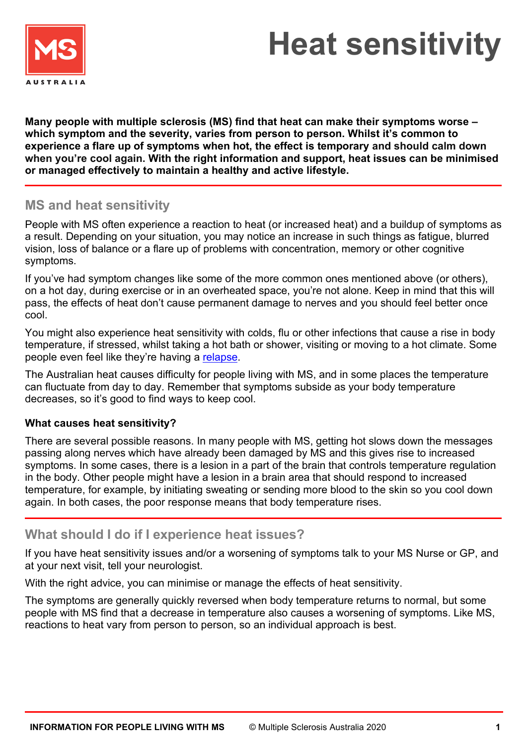

# **Heat sensitivity**

**Many people with multiple sclerosis (MS) find that heat can make their symptoms worse – which symptom and the severity, varies from person to person. Whilst it's common to experience a flare up of symptoms when hot, the effect is temporary and should calm down when you're cool again. With the right information and support, heat issues can be minimised or managed effectively to maintain a healthy and active lifestyle.**

## **MS and heat sensitivity**

People with MS often experience a reaction to heat (or increased heat) and a buildup of symptoms as a result. Depending on your situation, you may notice an increase in such things as fatigue, blurred vision, loss of balance or a flare up of problems with concentration, memory or other cognitive symptoms.

If you've had symptom changes like some of the more common ones mentioned above (or others), on a hot day, during exercise or in an overheated space, you're not alone. Keep in mind that this will pass, the effects of heat don't cause permanent damage to nerves and you should feel better once cool.

You might also experience heat sensitivity with colds, flu or other infections that cause a rise in body temperature, if stressed, whilst taking a hot bath or shower, visiting or moving to a hot climate. Some people even feel like they're having a [relapse.](https://www.msaustralia.org.au/about-ms/symptoms)

The Australian heat causes difficulty for people living with MS, and in some places the temperature can fluctuate from day to day. Remember that symptoms subside as your body temperature decreases, so it's good to find ways to keep cool.

### **What causes heat sensitivity?**

There are several possible reasons. In many people with MS, getting hot slows down the messages passing along nerves which have already been damaged by MS and this gives rise to increased symptoms. In some cases, there is a lesion in a part of the brain that controls temperature regulation in the body. Other people might have a lesion in a brain area that should respond to increased temperature, for example, by initiating sweating or sending more blood to the skin so you cool down again. In both cases, the poor response means that body temperature rises.

## **What should I do if I experience heat issues?**

If you have heat sensitivity issues and/or a worsening of symptoms talk to your MS Nurse or GP, and at your next visit, tell your neurologist.

With the right advice, you can minimise or manage the effects of heat sensitivity.

The symptoms are generally quickly reversed when body temperature returns to normal, but some people with MS find that a decrease in temperature also causes a worsening of symptoms. Like MS, reactions to heat vary from person to person, so an individual approach is best.

ľ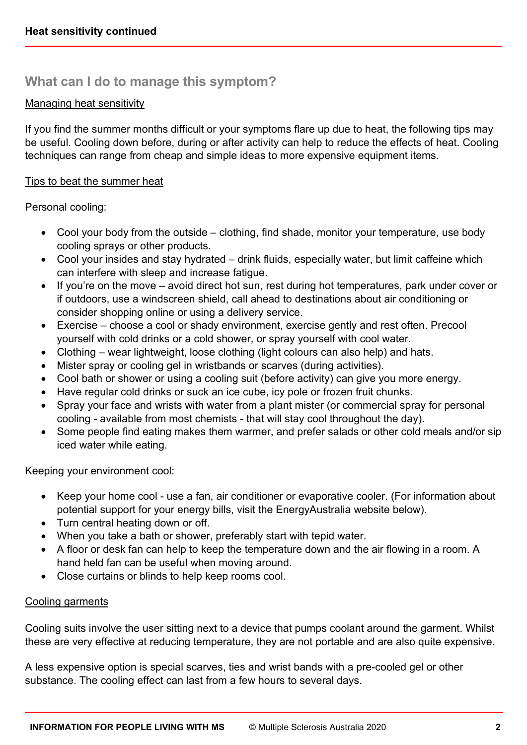# **What can I do to manage this symptom?**

#### Managing heat sensitivity

If you find the summer months difficult or your symptoms flare up due to heat, the following tips may be useful. Cooling down before, during or after activity can help to reduce the effects of heat. Cooling techniques can range from cheap and simple ideas to more expensive equipment items.

#### Tips to beat the summer heat

Personal cooling:

- Cool your body from the outside clothing, find shade, monitor your temperature, use body cooling sprays or other products.
- Cool your insides and stay hydrated drink fluids, especially water, but limit caffeine which can interfere with sleep and increase fatigue.
- If you're on the move avoid direct hot sun, rest during hot temperatures, park under cover or if outdoors, use a windscreen shield, call ahead to destinations about air conditioning or consider shopping online or using a delivery service.
- Exercise choose a cool or shady environment, exercise gently and rest often. Precool yourself with cold drinks or a cold shower, or spray yourself with cool water.
- Clothing wear lightweight, loose clothing (light colours can also help) and hats.
- Mister spray or cooling gel in wristbands or scarves (during activities).
- Cool bath or shower or using a cooling suit (before activity) can give you more energy.
- Have regular cold drinks or suck an ice cube, icy pole or frozen fruit chunks.
- Spray your face and wrists with water from a plant mister (or commercial spray for personal cooling - available from most chemists - that will stay cool throughout the day).
- Some people find eating makes them warmer, and prefer salads or other cold meals and/or sip iced water while eating.

Keeping your environment cool:

- Keep your home cool use a fan, air conditioner or evaporative cooler. (For information about potential support for your energy bills, visit the EnergyAustralia website below).
- Turn central heating down or off.
- When you take a bath or shower, preferably start with tepid water.
- A floor or desk fan can help to keep the temperature down and the air flowing in a room. A hand held fan can be useful when moving around.
- Close curtains or blinds to help keep rooms cool.

#### Cooling garments

Cooling suits involve the user sitting next to a device that pumps coolant around the garment. Whilst these are very effective at reducing temperature, they are not portable and are also quite expensive.

A less expensive option is special scarves, ties and wrist bands with a pre-cooled gel or other substance. The cooling effect can last from a few hours to several days.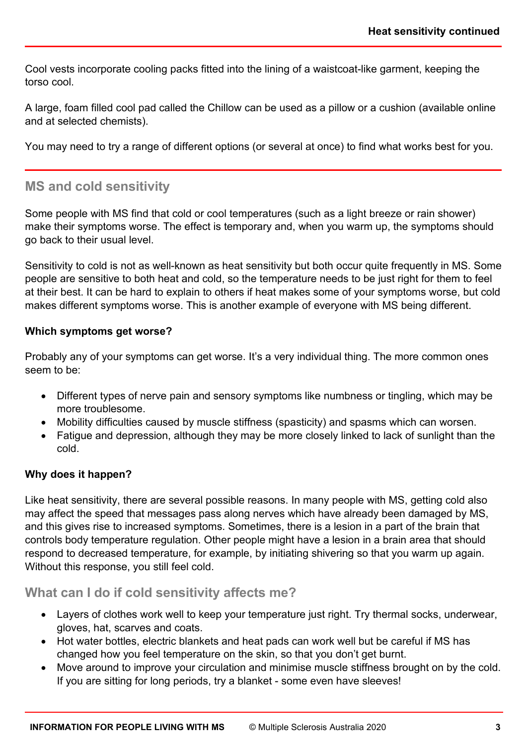i,

ľ

Cool vests incorporate cooling packs fitted into the lining of a waistcoat-like garment, keeping the torso cool.

A large, foam filled cool pad called the Chillow can be used as a pillow or a cushion (available online and at selected chemists).

You may need to try a range of different options (or several at once) to find what works best for you.

## **MS and cold sensitivity**

Some people with MS find that cold or cool temperatures (such as a light breeze or rain shower) make their symptoms worse. The effect is temporary and, when you warm up, the symptoms should go back to their usual level.

Sensitivity to cold is not as well-known as heat sensitivity but both occur quite frequently in MS. Some people are sensitive to both heat and cold, so the temperature needs to be just right for them to feel at their best. It can be hard to explain to others if heat makes some of your symptoms worse, but cold makes different symptoms worse. This is another example of everyone with MS being different.

#### **Which symptoms get worse?**

Probably any of your symptoms can get worse. It's a very individual thing. The more common ones seem to be:

- Different types of nerve pain and sensory symptoms like numbness or tingling, which may be more troublesome.
- Mobility difficulties caused by muscle stiffness (spasticity) and spasms which can worsen.
- Fatigue and depression, although they may be more closely linked to lack of sunlight than the cold.

### **Why does it happen?**

Like heat sensitivity, there are several possible reasons. In many people with MS, getting cold also may affect the speed that messages pass along nerves which have already been damaged by MS, and this gives rise to increased symptoms. Sometimes, there is a lesion in a part of the brain that controls body temperature regulation. Other people might have a lesion in a brain area that should respond to decreased temperature, for example, by initiating shivering so that you warm up again. Without this response, you still feel cold.

## **What can I do if cold sensitivity affects me?**

- Layers of clothes work well to keep your temperature just right. Try thermal socks, underwear, gloves, hat, scarves and coats.
- Hot water bottles, electric blankets and heat pads can work well but be careful if MS has changed how you feel temperature on the skin, so that you don't get burnt.
- Move around to improve your circulation and minimise muscle stiffness brought on by the cold. If you are sitting for long periods, try a blanket - some even have sleeves!